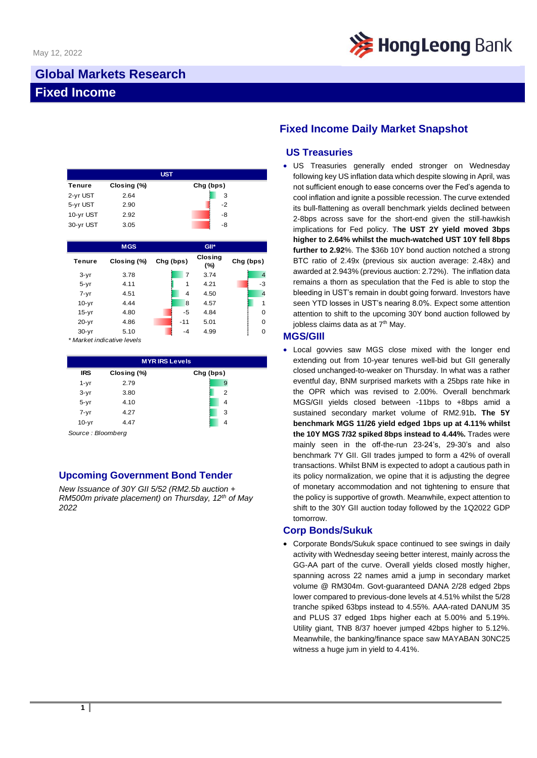

# **Global Markets Research Fixed Income**

|           |             | <b>UST</b> |
|-----------|-------------|------------|
| Tenure    | Closing (%) | Chg (bps)  |
| 2-yr UST  | 2.64        | 3          |
| 5-yr UST  | 2.90        | $-2$       |
| 10-yr UST | 2.92        | -8         |
| 30-yr UST | 3.05        | -8         |

|           | <b>MGS</b>  |           |                | $GH*$                 |           |                |
|-----------|-------------|-----------|----------------|-----------------------|-----------|----------------|
| Tenure    | Closing (%) | Chg (bps) |                | <b>Closing</b><br>(%) | Chg (bps) |                |
| $3-yr$    | 3.78        |           | $\overline{7}$ | 3.74                  |           | $\overline{4}$ |
| $5 - yr$  | 4.11        |           | 1              | 4.21                  |           | $-3$           |
| $7 - yr$  | 4.51        |           | $\overline{4}$ | 4.50                  |           | $\overline{4}$ |
| $10-yr$   | 4.44        |           | 8              | 4.57                  |           | 1              |
| $15-yr$   | 4.80        |           | $-5$           | 4.84                  |           | 0              |
| $20 - yr$ | 4.86        |           | $-11$          | 5.01                  |           | $\Omega$       |
| $30 - yr$ | 5.10        |           | $-4$           | 4.99                  |           | $\Omega$       |

*\* Market indicative levels*

| <b>MYRIRS Levels</b> |                 |                |  |  |  |  |
|----------------------|-----------------|----------------|--|--|--|--|
| <b>IRS</b>           | Closing (%)     | Chg (bps)      |  |  |  |  |
| $1 - yr$             | 2.79            | 9              |  |  |  |  |
| $3-yr$               | 3.80            | $\overline{2}$ |  |  |  |  |
| $5 - yr$             | 4.10            | 4              |  |  |  |  |
| $7 - yr$             | 4.27            | 3              |  |  |  |  |
| $10-yr$<br>$- \cdot$ | 4.47<br>$\cdot$ |                |  |  |  |  |

*Source : Bloomberg*

### **Upcoming Government Bond Tender**

*New Issuance of 30Y GII 5/52 (RM2.5b auction + RM500m private placement) on Thursday, 12th of May 2022*

## **Fixed Income Daily Market Snapshot**

#### **US Treasuries**

• US Treasuries generally ended stronger on Wednesday following key US inflation data which despite slowing in April, was not sufficient enough to ease concerns over the Fed's agenda to cool inflation and ignite a possible recession. The curve extended its bull-flattening as overall benchmark yields declined between 2-8bps across save for the short-end given the still-hawkish implications for Fed policy. T**he UST 2Y yield moved 3bps higher to 2.64% whilst the much-watched UST 10Y fell 8bps further to 2.92**%. The \$36b 10Y bond auction notched a strong BTC ratio of 2.49x (previous six auction average: 2.48x) and awarded at 2.943% (previous auction: 2.72%). The inflation data remains a thorn as speculation that the Fed is able to stop the bleeding in UST's remain in doubt going forward. Investors have seen YTD losses in UST's nearing 8.0%. Expect some attention attention to shift to the upcoming 30Y bond auction followed by jobless claims data as at  $7<sup>th</sup>$  May.

#### **MGS/GIIl**

• Local govvies saw MGS close mixed with the longer end extending out from 10-year tenures well-bid but GII generally closed unchanged-to-weaker on Thursday. In what was a rather eventful day, BNM surprised markets with a 25bps rate hike in the OPR which was revised to 2.00%. Overall benchmark MGS/GII yields closed between -11bps to +8bps amid a sustained secondary market volume of RM2.91b**. The 5Y benchmark MGS 11/26 yield edged 1bps up at 4.11% whilst the 10Y MGS 7/32 spiked 8bps instead to 4.44%.** Trades were mainly seen in the off-the-run 23-24's, 29-30's and also benchmark 7Y GII. GII trades jumped to form a 42% of overall transactions. Whilst BNM is expected to adopt a cautious path in its policy normalization, we opine that it is adjusting the degree of monetary accommodation and not tightening to ensure that the policy is supportive of growth. Meanwhile, expect attention to shift to the 30Y GII auction today followed by the 1Q2022 GDP tomorrow.

### **Corp Bonds/Sukuk**

• Corporate Bonds/Sukuk space continued to see swings in daily activity with Wednesday seeing better interest, mainly across the GG-AA part of the curve. Overall yields closed mostly higher, spanning across 22 names amid a jump in secondary market volume @ RM304m. Govt-guaranteed DANA 2/28 edged 2bps lower compared to previous-done levels at 4.51% whilst the 5/28 tranche spiked 63bps instead to 4.55%. AAA-rated DANUM 35 and PLUS 37 edged 1bps higher each at 5.00% and 5.19%. Utility giant, TNB 8/37 hoever jumped 42bps higher to 5.12%. Meanwhile, the banking/finance space saw MAYABAN 30NC25 witness a huge jum in yield to 4.41%.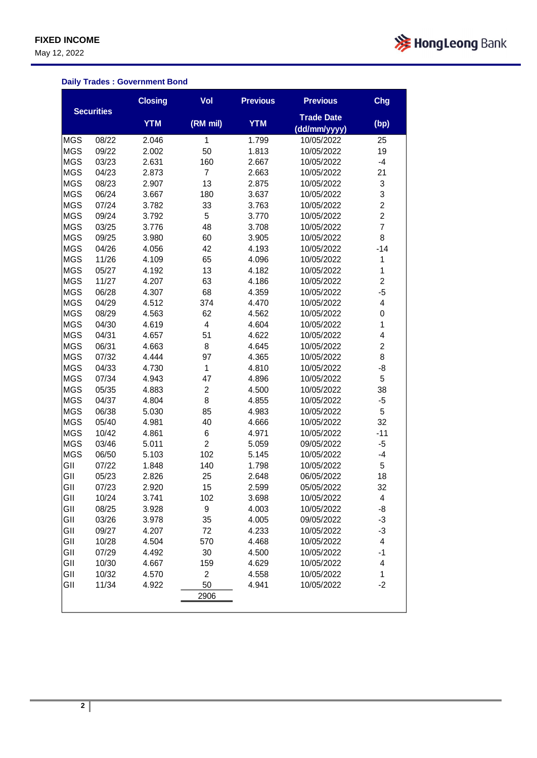May 12, 2022



#### **Daily Trades : Government Bond**

|            |                   | <b>Closing</b> | Vol            | <b>Previous</b> | <b>Previous</b>                   | Chg            |
|------------|-------------------|----------------|----------------|-----------------|-----------------------------------|----------------|
|            | <b>Securities</b> | <b>YTM</b>     | (RM mil)       | <b>YTM</b>      | <b>Trade Date</b><br>(dd/mm/yyyy) | (bp)           |
| <b>MGS</b> | 08/22             | 2.046          | 1              | 1.799           | 10/05/2022                        | 25             |
| <b>MGS</b> | 09/22             | 2.002          | 50             | 1.813           | 10/05/2022                        | 19             |
| <b>MGS</b> | 03/23             | 2.631          | 160            | 2.667           | 10/05/2022                        | $-4$           |
| <b>MGS</b> | 04/23             | 2.873          | $\overline{7}$ | 2.663           | 10/05/2022                        | 21             |
| <b>MGS</b> | 08/23             | 2.907          | 13             | 2.875           | 10/05/2022                        | 3              |
| <b>MGS</b> | 06/24             | 3.667          | 180            | 3.637           | 10/05/2022                        | 3              |
| <b>MGS</b> | 07/24             | 3.782          | 33             | 3.763           | 10/05/2022                        | $\overline{c}$ |
| <b>MGS</b> | 09/24             | 3.792          | 5              | 3.770           | 10/05/2022                        | $\overline{2}$ |
| <b>MGS</b> | 03/25             | 3.776          | 48             | 3.708           | 10/05/2022                        | $\overline{7}$ |
| <b>MGS</b> | 09/25             | 3.980          | 60             | 3.905           | 10/05/2022                        | 8              |
| <b>MGS</b> | 04/26             | 4.056          | 42             | 4.193           | 10/05/2022                        | $-14$          |
| <b>MGS</b> | 11/26             | 4.109          | 65             | 4.096           | 10/05/2022                        | 1              |
| <b>MGS</b> | 05/27             | 4.192          | 13             | 4.182           | 10/05/2022                        | 1              |
| <b>MGS</b> | 11/27             | 4.207          | 63             | 4.186           | 10/05/2022                        | $\overline{c}$ |
| <b>MGS</b> | 06/28             | 4.307          | 68             | 4.359           | 10/05/2022                        | $-5$           |
| <b>MGS</b> | 04/29             | 4.512          | 374            | 4.470           | 10/05/2022                        | 4              |
| <b>MGS</b> | 08/29             | 4.563          | 62             | 4.562           | 10/05/2022                        | 0              |
| <b>MGS</b> | 04/30             | 4.619          | 4              | 4.604           | 10/05/2022                        | 1              |
| <b>MGS</b> | 04/31             | 4.657          | 51             | 4.622           | 10/05/2022                        | 4              |
| <b>MGS</b> | 06/31             | 4.663          | 8              | 4.645           | 10/05/2022                        | $\overline{c}$ |
| <b>MGS</b> | 07/32             | 4.444          | 97             | 4.365           | 10/05/2022                        | 8              |
| <b>MGS</b> | 04/33             | 4.730          | 1              | 4.810           | 10/05/2022                        | -8             |
| <b>MGS</b> | 07/34             | 4.943          | 47             | 4.896           | 10/05/2022                        | 5              |
| <b>MGS</b> | 05/35             | 4.883          | $\overline{c}$ | 4.500           | 10/05/2022                        | 38             |
| <b>MGS</b> | 04/37             | 4.804          | 8              | 4.855           | 10/05/2022                        | -5             |
| <b>MGS</b> | 06/38             | 5.030          | 85             | 4.983           | 10/05/2022                        | 5              |
| <b>MGS</b> | 05/40             | 4.981          | 40             | 4.666           | 10/05/2022                        | 32             |
| <b>MGS</b> | 10/42             | 4.861          | 6              | 4.971           | 10/05/2022                        | $-11$          |
| <b>MGS</b> | 03/46             | 5.011          | $\overline{2}$ | 5.059           | 09/05/2022                        | -5             |
| <b>MGS</b> | 06/50             | 5.103          | 102            | 5.145           | 10/05/2022                        | $-4$           |
| GII        | 07/22             | 1.848          | 140            | 1.798           | 10/05/2022                        | 5              |
| GII        | 05/23             | 2.826          | 25             | 2.648           | 06/05/2022                        | 18             |
| GII        | 07/23             | 2.920          | 15             | 2.599           | 05/05/2022                        | 32             |
| GII        | 10/24             | 3.741          | 102            | 3.698           | 10/05/2022                        | 4              |
| GII        | 08/25             | 3.928          | 9              | 4.003           | 10/05/2022                        | -8             |
| GII        | 03/26             | 3.978          | 35             | 4.005           | 09/05/2022                        | -3             |
| GII        | 09/27             | 4.207          | 72             | 4.233           | 10/05/2022                        | $-3$           |
| GII        | 10/28             | 4.504          | 570            | 4.468           | 10/05/2022                        | 4              |
| GII        | 07/29             | 4.492          | 30             | 4.500           | 10/05/2022                        | $-1$           |
| GII        | 10/30             | 4.667          | 159            | 4.629           | 10/05/2022                        | 4              |
| GII        | 10/32             | 4.570          | $\overline{2}$ | 4.558           | 10/05/2022                        | $\mathbf{1}$   |
| GII        | 11/34             | 4.922          | 50             | 4.941           | 10/05/2022                        | $-2$           |
|            |                   |                | 2906           |                 |                                   |                |
|            |                   |                |                |                 |                                   |                |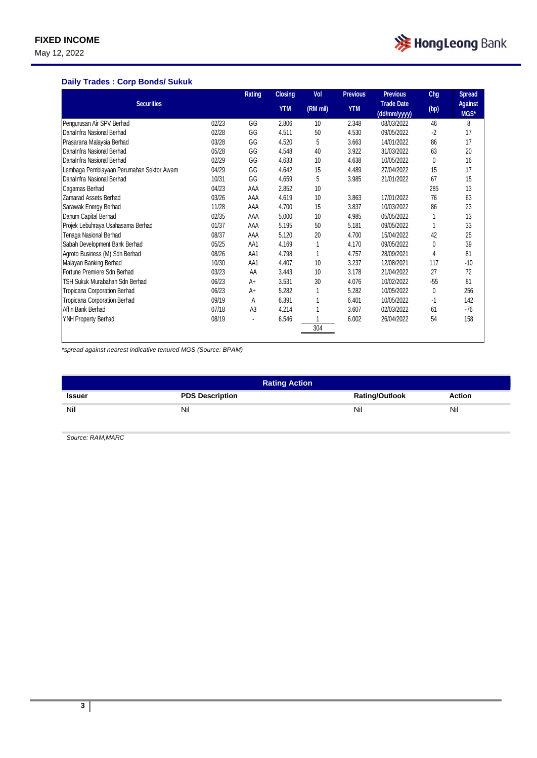May 12, 2022



#### **Daily Trades : Corp Bonds/ Sukuk**

|                                          |       | Rating | <b>Closing</b> | Vol      | <b>Previous</b> | <b>Previous</b>                   | Chg   | <b>Spread</b>          |
|------------------------------------------|-------|--------|----------------|----------|-----------------|-----------------------------------|-------|------------------------|
| <b>Securities</b>                        |       |        | <b>YTM</b>     | (RM mil) | <b>YTM</b>      | <b>Trade Date</b><br>(dd/mm/yyyy) | (bp)  | <b>Against</b><br>MGS* |
| Pengurusan Air SPV Berhad                | 02/23 | GG     | 2.806          | 10       | 2.348           | 08/03/2022                        | 46    | 8                      |
| DanaInfra Nasional Berhad                | 02/28 | GG     | 4.511          | 50       | 4.530           | 09/05/2022                        | $-2$  | 17                     |
| Prasarana Malaysia Berhad                | 03/28 | GG     | 4.520          | 5        | 3.663           | 14/01/2022                        | 86    | 17                     |
| DanaInfra Nasional Berhad                | 05/28 | GG     | 4.548          | 40       | 3.922           | 31/03/2022                        | 63    | 20                     |
| DanaInfra Nasional Berhad                | 02/29 | GG     | 4.633          | 10       | 4.638           | 10/05/2022                        | 0     | 16                     |
| Lembaga Pembiayaan Perumahan Sektor Awam | 04/29 | GG     | 4.642          | 15       | 4.489           | 27/04/2022                        | 15    | 17                     |
| DanaInfra Nasional Berhad                | 10/31 | GG     | 4.659          | 5        | 3.985           | 21/01/2022                        | 67    | 15                     |
| Cagamas Berhad                           | 04/23 | AAA    | 2.852          | 10       |                 |                                   | 285   | 13                     |
| Zamarad Assets Berhad                    | 03/26 | AAA    | 4.619          | 10       | 3.863           | 17/01/2022                        | 76    | 63                     |
| Sarawak Energy Berhad                    | 11/28 | AAA    | 4.700          | 15       | 3.837           | 10/03/2022                        | 86    | 23                     |
| Danum Capital Berhad                     | 02/35 | AAA    | 5.000          | 10       | 4.985           | 05/05/2022                        |       | 13                     |
| Projek Lebuhraya Usahasama Berhad        | 01/37 | AAA    | 5.195          | 50       | 5.181           | 09/05/2022                        |       | 33                     |
| Tenaga Nasional Berhad                   | 08/37 | AAA    | 5.120          | 20       | 4.700           | 15/04/2022                        | 42    | 25                     |
| Sabah Development Bank Berhad            | 05/25 | AA1    | 4.169          |          | 4.170           | 09/05/2022                        | 0     | 39                     |
| Agroto Business (M) Sdn Berhad           | 08/26 | AA1    | 4.798          |          | 4.757           | 28/09/2021                        | 4     | 81                     |
| Malayan Banking Berhad                   | 10/30 | AA1    | 4.407          | 10       | 3.237           | 12/08/2021                        | 117   | $-10$                  |
| Fortune Premiere Sdn Berhad              | 03/23 | AA     | 3.443          | 10       | 3.178           | 21/04/2022                        | 27    | 72                     |
| TSH Sukuk Murabahah Sdn Berhad           | 06/23 | A+     | 3.531          | 30       | 4.076           | 10/02/2022                        | $-55$ | 81                     |
| Tropicana Corporation Berhad             | 06/23 | A+     | 5.282          |          | 5.282           | 10/05/2022                        | 0     | 256                    |
| <b>Tropicana Corporation Berhad</b>      | 09/19 | А      | 6.391          |          | 6.401           | 10/05/2022                        | $-1$  | 142                    |
| Affin Bank Berhad                        | 07/18 | A3     | 4.214          |          | 3.607           | 02/03/2022                        | 61    | $-76$                  |
| YNH Property Berhad                      | 08/19 |        | 6.546          |          | 6.002           | 26/04/2022                        | 54    | 158                    |
|                                          |       |        |                | 304      |                 |                                   |       |                        |

*\*spread against nearest indicative tenured MGS (Source: BPAM)*

| <b>Rating Action</b> |                        |                       |               |  |  |
|----------------------|------------------------|-----------------------|---------------|--|--|
| Issuer               | <b>PDS Description</b> | <b>Rating/Outlook</b> | <b>Action</b> |  |  |
| Nil                  | Nil                    | Nil                   | Nil           |  |  |

*Source: RAM,MARC*